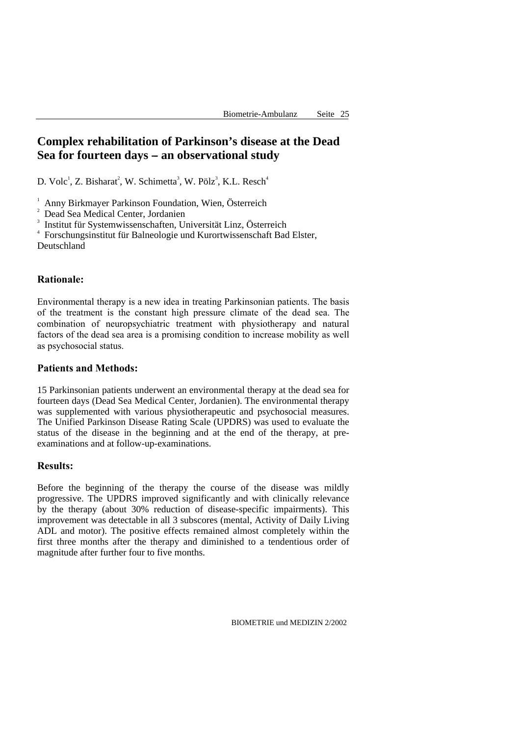# **Complex rehabilitation of Parkinson's disease at the Dead**  Sea for fourteen days – an observational study

D. Volc<sup>1</sup>, Z. Bisharat<sup>2</sup>, W. Schimetta<sup>3</sup>, W. Pölz<sup>3</sup>, K.L. Resch<sup>4</sup>

1 Anny Birkmayer Parkinson Foundation, Wien, Österreich

<sup>2</sup> Dead Sea Medical Center, Jordanien

3 Institut für Systemwissenschaften, Universität Linz, Österreich

4 Forschungsinstitut für Balneologie und Kurortwissenschaft Bad Elster, Deutschland

## **Rationale:**

Environmental therapy is a new idea in treating Parkinsonian patients. The basis of the treatment is the constant high pressure climate of the dead sea. The combination of neuropsychiatric treatment with physiotherapy and natural factors of the dead sea area is a promising condition to increase mobility as well as psychosocial status.

### **Patients and Methods:**

15 Parkinsonian patients underwent an environmental therapy at the dead sea for fourteen days (Dead Sea Medical Center, Jordanien). The environmental therapy was supplemented with various physiotherapeutic and psychosocial measures. The Unified Parkinson Disease Rating Scale (UPDRS) was used to evaluate the status of the disease in the beginning and at the end of the therapy, at preexaminations and at follow-up-examinations.

### **Results:**

Before the beginning of the therapy the course of the disease was mildly progressive. The UPDRS improved significantly and with clinically relevance by the therapy (about 30% reduction of disease-specific impairments). This improvement was detectable in all 3 subscores (mental, Activity of Daily Living ADL and motor). The positive effects remained almost completely within the first three months after the therapy and diminished to a tendentious order of magnitude after further four to five months.